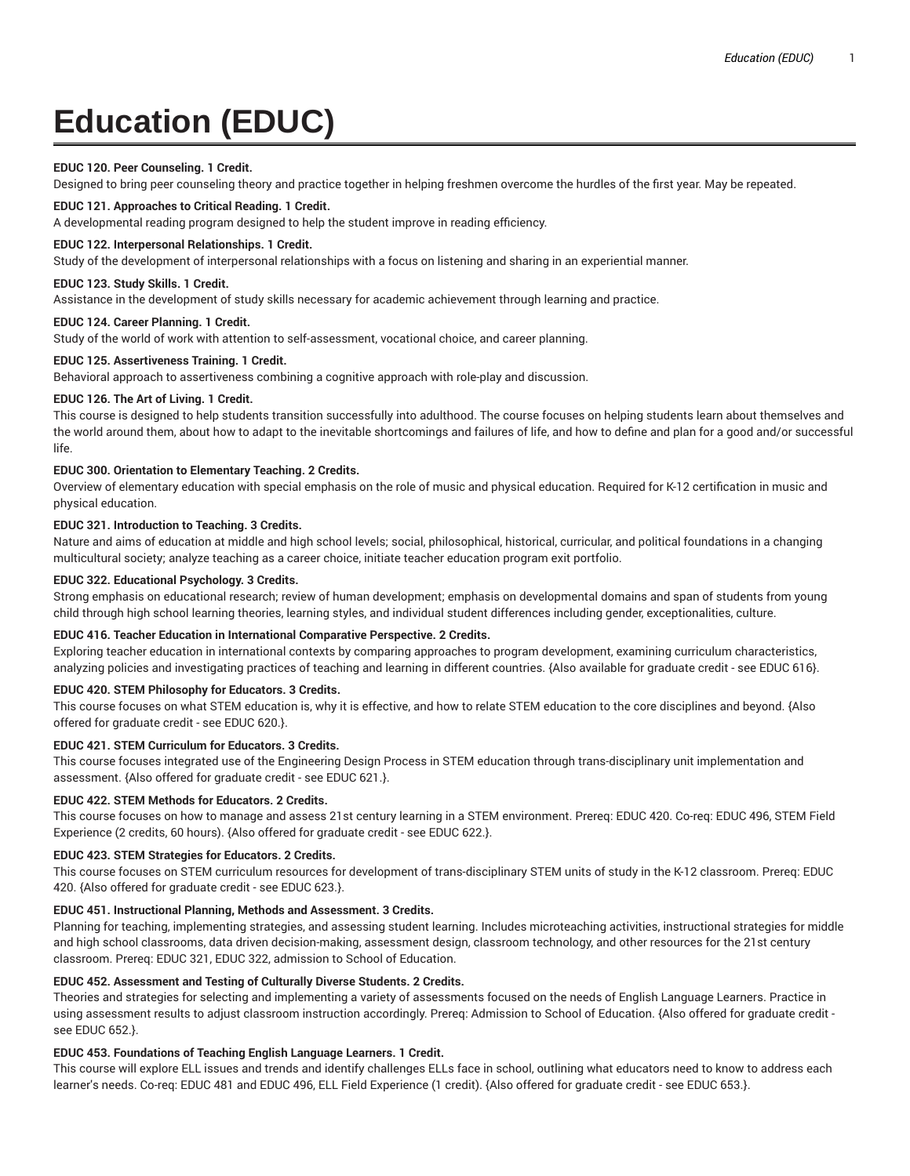# **Education (EDUC)**

# **EDUC 120. Peer Counseling. 1 Credit.**

Designed to bring peer counseling theory and practice together in helping freshmen overcome the hurdles of the first year. May be repeated.

# **EDUC 121. Approaches to Critical Reading. 1 Credit.**

A developmental reading program designed to help the student improve in reading efficiency.

# **EDUC 122. Interpersonal Relationships. 1 Credit.**

Study of the development of interpersonal relationships with a focus on listening and sharing in an experiential manner.

## **EDUC 123. Study Skills. 1 Credit.**

Assistance in the development of study skills necessary for academic achievement through learning and practice.

# **EDUC 124. Career Planning. 1 Credit.**

Study of the world of work with attention to self-assessment, vocational choice, and career planning.

# **EDUC 125. Assertiveness Training. 1 Credit.**

Behavioral approach to assertiveness combining a cognitive approach with role-play and discussion.

# **EDUC 126. The Art of Living. 1 Credit.**

This course is designed to help students transition successfully into adulthood. The course focuses on helping students learn about themselves and the world around them, about how to adapt to the inevitable shortcomings and failures of life, and how to define and plan for a good and/or successful life.

# **EDUC 300. Orientation to Elementary Teaching. 2 Credits.**

Overview of elementary education with special emphasis on the role of music and physical education. Required for K-12 certification in music and physical education.

# **EDUC 321. Introduction to Teaching. 3 Credits.**

Nature and aims of education at middle and high school levels; social, philosophical, historical, curricular, and political foundations in a changing multicultural society; analyze teaching as a career choice, initiate teacher education program exit portfolio.

# **EDUC 322. Educational Psychology. 3 Credits.**

Strong emphasis on educational research; review of human development; emphasis on developmental domains and span of students from young child through high school learning theories, learning styles, and individual student differences including gender, exceptionalities, culture.

# **EDUC 416. Teacher Education in International Comparative Perspective. 2 Credits.**

Exploring teacher education in international contexts by comparing approaches to program development, examining curriculum characteristics, analyzing policies and investigating practices of teaching and learning in different countries. {Also available for graduate credit - see EDUC 616}.

# **EDUC 420. STEM Philosophy for Educators. 3 Credits.**

This course focuses on what STEM education is, why it is effective, and how to relate STEM education to the core disciplines and beyond. {Also offered for graduate credit - see EDUC 620.}.

# **EDUC 421. STEM Curriculum for Educators. 3 Credits.**

This course focuses integrated use of the Engineering Design Process in STEM education through trans-disciplinary unit implementation and assessment. {Also offered for graduate credit - see EDUC 621.}.

# **EDUC 422. STEM Methods for Educators. 2 Credits.**

This course focuses on how to manage and assess 21st century learning in a STEM environment. Prereq: EDUC 420. Co-req: EDUC 496, STEM Field Experience (2 credits, 60 hours). {Also offered for graduate credit - see EDUC 622.}.

# **EDUC 423. STEM Strategies for Educators. 2 Credits.**

This course focuses on STEM curriculum resources for development of trans-disciplinary STEM units of study in the K-12 classroom. Prereq: EDUC 420. {Also offered for graduate credit - see EDUC 623.}.

# **EDUC 451. Instructional Planning, Methods and Assessment. 3 Credits.**

Planning for teaching, implementing strategies, and assessing student learning. Includes microteaching activities, instructional strategies for middle and high school classrooms, data driven decision-making, assessment design, classroom technology, and other resources for the 21st century classroom. Prereq: EDUC 321, EDUC 322, admission to School of Education.

# **EDUC 452. Assessment and Testing of Culturally Diverse Students. 2 Credits.**

Theories and strategies for selecting and implementing a variety of assessments focused on the needs of English Language Learners. Practice in using assessment results to adjust classroom instruction accordingly. Prereq: Admission to School of Education. {Also offered for graduate credit see EDUC 652.}.

# **EDUC 453. Foundations of Teaching English Language Learners. 1 Credit.**

This course will explore ELL issues and trends and identify challenges ELLs face in school, outlining what educators need to know to address each learner's needs. Co-req: EDUC 481 and EDUC 496, ELL Field Experience (1 credit). {Also offered for graduate credit - see EDUC 653.}.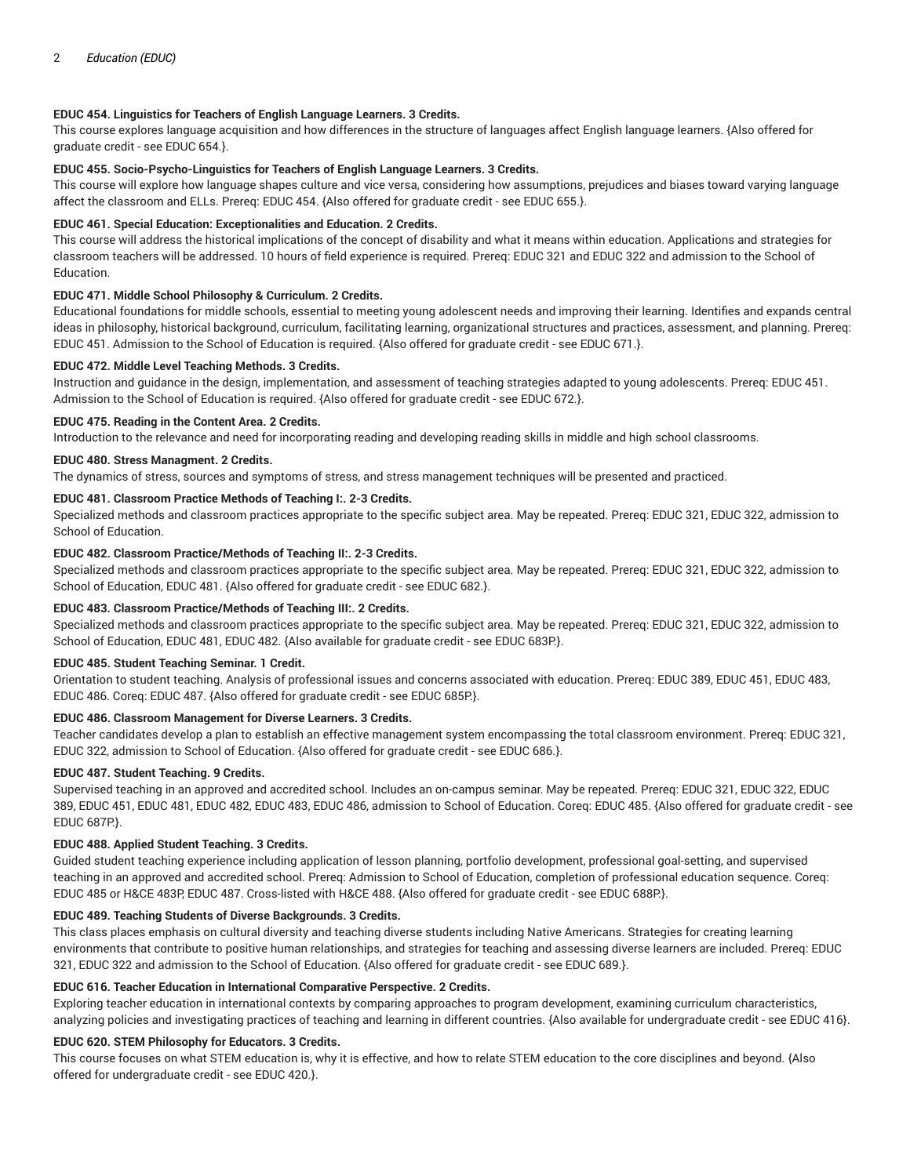# **EDUC 454. Linguistics for Teachers of English Language Learners. 3 Credits.**

This course explores language acquisition and how differences in the structure of languages affect English language learners. {Also offered for graduate credit - see EDUC 654.}.

# **EDUC 455. Socio-Psycho-Linguistics for Teachers of English Language Learners. 3 Credits.**

This course will explore how language shapes culture and vice versa, considering how assumptions, prejudices and biases toward varying language affect the classroom and ELLs. Prereq: EDUC 454. {Also offered for graduate credit - see EDUC 655.}.

# **EDUC 461. Special Education: Exceptionalities and Education. 2 Credits.**

This course will address the historical implications of the concept of disability and what it means within education. Applications and strategies for classroom teachers will be addressed. 10 hours of field experience is required. Prereq: EDUC 321 and EDUC 322 and admission to the School of Education.

# **EDUC 471. Middle School Philosophy & Curriculum. 2 Credits.**

Educational foundations for middle schools, essential to meeting young adolescent needs and improving their learning. Identifies and expands central ideas in philosophy, historical background, curriculum, facilitating learning, organizational structures and practices, assessment, and planning. Prereq: EDUC 451. Admission to the School of Education is required. {Also offered for graduate credit - see EDUC 671.}.

# **EDUC 472. Middle Level Teaching Methods. 3 Credits.**

Instruction and guidance in the design, implementation, and assessment of teaching strategies adapted to young adolescents. Prereq: EDUC 451. Admission to the School of Education is required. {Also offered for graduate credit - see EDUC 672.}.

# **EDUC 475. Reading in the Content Area. 2 Credits.**

Introduction to the relevance and need for incorporating reading and developing reading skills in middle and high school classrooms.

# **EDUC 480. Stress Managment. 2 Credits.**

The dynamics of stress, sources and symptoms of stress, and stress management techniques will be presented and practiced.

# **EDUC 481. Classroom Practice Methods of Teaching I:. 2-3 Credits.**

Specialized methods and classroom practices appropriate to the specific subject area. May be repeated. Prereq: EDUC 321, EDUC 322, admission to School of Education.

# **EDUC 482. Classroom Practice/Methods of Teaching II:. 2-3 Credits.**

Specialized methods and classroom practices appropriate to the specific subject area. May be repeated. Prereq: EDUC 321, EDUC 322, admission to School of Education, EDUC 481. {Also offered for graduate credit - see EDUC 682.}.

# **EDUC 483. Classroom Practice/Methods of Teaching III:. 2 Credits.**

Specialized methods and classroom practices appropriate to the specific subject area. May be repeated. Prereq: EDUC 321, EDUC 322, admission to School of Education, EDUC 481, EDUC 482. {Also available for graduate credit - see EDUC 683P.}.

# **EDUC 485. Student Teaching Seminar. 1 Credit.**

Orientation to student teaching. Analysis of professional issues and concerns associated with education. Prereq: EDUC 389, EDUC 451, EDUC 483, EDUC 486. Coreq: EDUC 487. {Also offered for graduate credit - see EDUC 685P.}.

# **EDUC 486. Classroom Management for Diverse Learners. 3 Credits.**

Teacher candidates develop a plan to establish an effective management system encompassing the total classroom environment. Prereq: EDUC 321, EDUC 322, admission to School of Education. {Also offered for graduate credit - see EDUC 686.}.

# **EDUC 487. Student Teaching. 9 Credits.**

Supervised teaching in an approved and accredited school. Includes an on-campus seminar. May be repeated. Prereq: EDUC 321, EDUC 322, EDUC 389, EDUC 451, EDUC 481, EDUC 482, EDUC 483, EDUC 486, admission to School of Education. Coreq: EDUC 485. {Also offered for graduate credit - see EDUC 687P.}.

# **EDUC 488. Applied Student Teaching. 3 Credits.**

Guided student teaching experience including application of lesson planning, portfolio development, professional goal-setting, and supervised teaching in an approved and accredited school. Prereq: Admission to School of Education, completion of professional education sequence. Coreq: EDUC 485 or H&CE 483P, EDUC 487. Cross-listed with H&CE 488. {Also offered for graduate credit - see EDUC 688P.}.

# **EDUC 489. Teaching Students of Diverse Backgrounds. 3 Credits.**

This class places emphasis on cultural diversity and teaching diverse students including Native Americans. Strategies for creating learning environments that contribute to positive human relationships, and strategies for teaching and assessing diverse learners are included. Prereq: EDUC 321, EDUC 322 and admission to the School of Education. {Also offered for graduate credit - see EDUC 689.}.

# **EDUC 616. Teacher Education in International Comparative Perspective. 2 Credits.**

Exploring teacher education in international contexts by comparing approaches to program development, examining curriculum characteristics, analyzing policies and investigating practices of teaching and learning in different countries. {Also available for undergraduate credit - see EDUC 416}.

# **EDUC 620. STEM Philosophy for Educators. 3 Credits.**

This course focuses on what STEM education is, why it is effective, and how to relate STEM education to the core disciplines and beyond. {Also offered for undergraduate credit - see EDUC 420.}.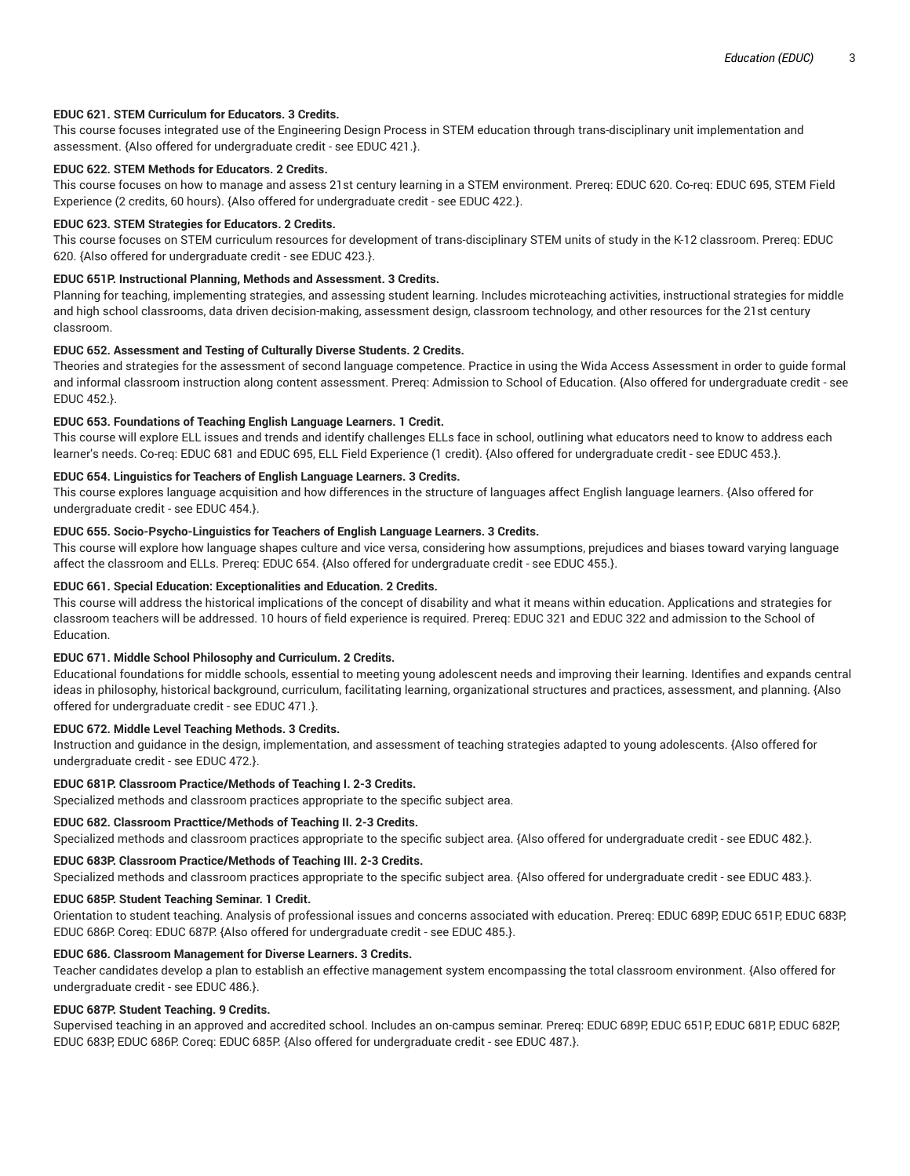# **EDUC 621. STEM Curriculum for Educators. 3 Credits.**

This course focuses integrated use of the Engineering Design Process in STEM education through trans-disciplinary unit implementation and assessment. {Also offered for undergraduate credit - see EDUC 421.}.

# **EDUC 622. STEM Methods for Educators. 2 Credits.**

This course focuses on how to manage and assess 21st century learning in a STEM environment. Prereq: EDUC 620. Co-req: EDUC 695, STEM Field Experience (2 credits, 60 hours). {Also offered for undergraduate credit - see EDUC 422.}.

#### **EDUC 623. STEM Strategies for Educators. 2 Credits.**

This course focuses on STEM curriculum resources for development of trans-disciplinary STEM units of study in the K-12 classroom. Prereq: EDUC 620. {Also offered for undergraduate credit - see EDUC 423.}.

# **EDUC 651P. Instructional Planning, Methods and Assessment. 3 Credits.**

Planning for teaching, implementing strategies, and assessing student learning. Includes microteaching activities, instructional strategies for middle and high school classrooms, data driven decision-making, assessment design, classroom technology, and other resources for the 21st century classroom.

# **EDUC 652. Assessment and Testing of Culturally Diverse Students. 2 Credits.**

Theories and strategies for the assessment of second language competence. Practice in using the Wida Access Assessment in order to guide formal and informal classroom instruction along content assessment. Prereq: Admission to School of Education. {Also offered for undergraduate credit - see EDUC 452.}.

# **EDUC 653. Foundations of Teaching English Language Learners. 1 Credit.**

This course will explore ELL issues and trends and identify challenges ELLs face in school, outlining what educators need to know to address each learner's needs. Co-req: EDUC 681 and EDUC 695, ELL Field Experience (1 credit). {Also offered for undergraduate credit - see EDUC 453.}.

# **EDUC 654. Linguistics for Teachers of English Language Learners. 3 Credits.**

This course explores language acquisition and how differences in the structure of languages affect English language learners. {Also offered for undergraduate credit - see EDUC 454.}.

#### **EDUC 655. Socio-Psycho-Linguistics for Teachers of English Language Learners. 3 Credits.**

This course will explore how language shapes culture and vice versa, considering how assumptions, prejudices and biases toward varying language affect the classroom and ELLs. Prereq: EDUC 654. {Also offered for undergraduate credit - see EDUC 455.}.

# **EDUC 661. Special Education: Exceptionalities and Education. 2 Credits.**

This course will address the historical implications of the concept of disability and what it means within education. Applications and strategies for classroom teachers will be addressed. 10 hours of field experience is required. Prereq: EDUC 321 and EDUC 322 and admission to the School of Education.

# **EDUC 671. Middle School Philosophy and Curriculum. 2 Credits.**

Educational foundations for middle schools, essential to meeting young adolescent needs and improving their learning. Identifies and expands central ideas in philosophy, historical background, curriculum, facilitating learning, organizational structures and practices, assessment, and planning. {Also offered for undergraduate credit - see EDUC 471.}.

# **EDUC 672. Middle Level Teaching Methods. 3 Credits.**

Instruction and guidance in the design, implementation, and assessment of teaching strategies adapted to young adolescents. {Also offered for undergraduate credit - see EDUC 472.}.

# **EDUC 681P. Classroom Practice/Methods of Teaching I. 2-3 Credits.**

Specialized methods and classroom practices appropriate to the specific subject area.

# **EDUC 682. Classroom Practtice/Methods of Teaching II. 2-3 Credits.**

Specialized methods and classroom practices appropriate to the specific subject area. {Also offered for undergraduate credit - see EDUC 482.}.

# **EDUC 683P. Classroom Practice/Methods of Teaching III. 2-3 Credits.**

Specialized methods and classroom practices appropriate to the specific subject area. {Also offered for undergraduate credit - see EDUC 483.}.

#### **EDUC 685P. Student Teaching Seminar. 1 Credit.**

Orientation to student teaching. Analysis of professional issues and concerns associated with education. Prereq: EDUC 689P, EDUC 651P, EDUC 683P, EDUC 686P. Coreq: EDUC 687P. {Also offered for undergraduate credit - see EDUC 485.}.

# **EDUC 686. Classroom Management for Diverse Learners. 3 Credits.**

Teacher candidates develop a plan to establish an effective management system encompassing the total classroom environment. {Also offered for undergraduate credit - see EDUC 486.}.

# **EDUC 687P. Student Teaching. 9 Credits.**

Supervised teaching in an approved and accredited school. Includes an on-campus seminar. Prereq: EDUC 689P, EDUC 651P, EDUC 681P, EDUC 682P, EDUC 683P, EDUC 686P. Coreq: EDUC 685P. {Also offered for undergraduate credit - see EDUC 487.}.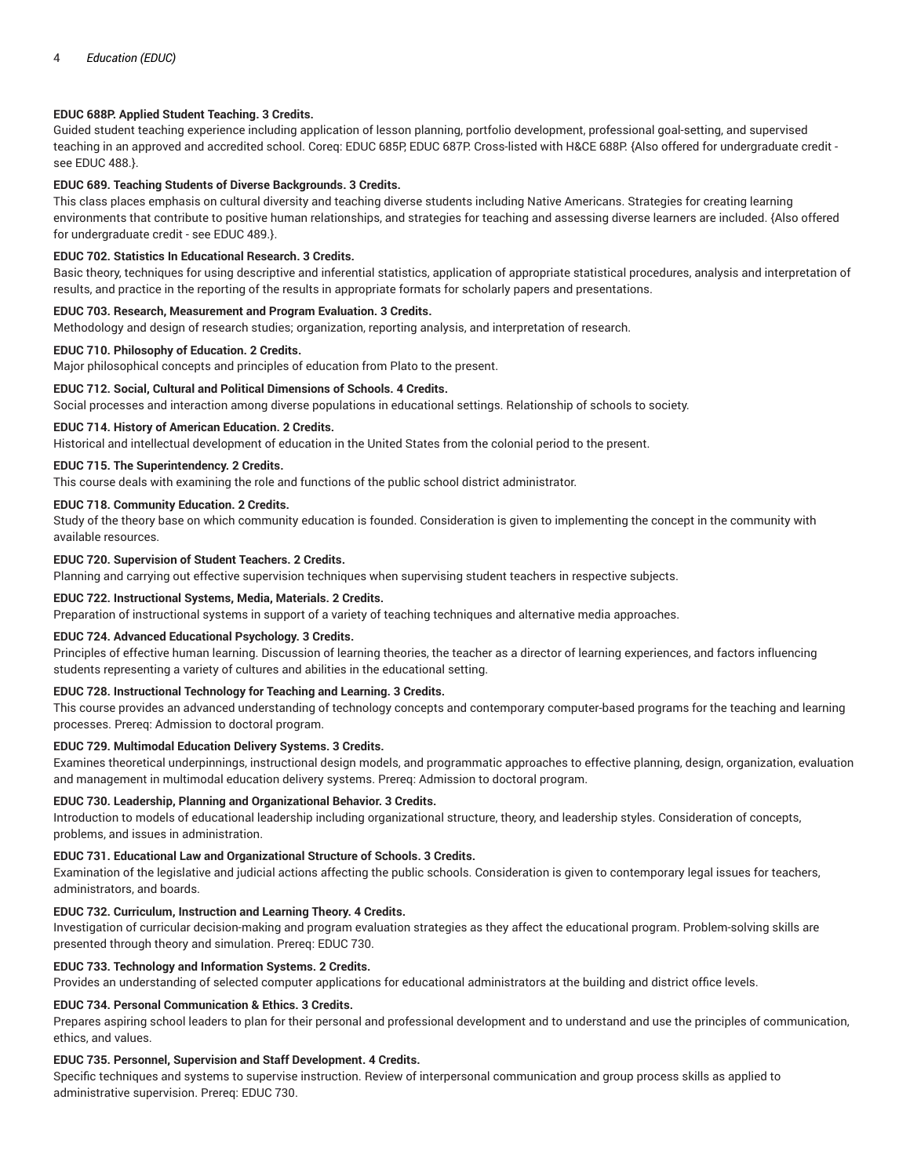# **EDUC 688P. Applied Student Teaching. 3 Credits.**

Guided student teaching experience including application of lesson planning, portfolio development, professional goal-setting, and supervised teaching in an approved and accredited school. Coreq: EDUC 685P, EDUC 687P. Cross-listed with H&CE 688P. {Also offered for undergraduate credit see EDUC 488.}.

# **EDUC 689. Teaching Students of Diverse Backgrounds. 3 Credits.**

This class places emphasis on cultural diversity and teaching diverse students including Native Americans. Strategies for creating learning environments that contribute to positive human relationships, and strategies for teaching and assessing diverse learners are included. {Also offered for undergraduate credit - see EDUC 489.}.

## **EDUC 702. Statistics In Educational Research. 3 Credits.**

Basic theory, techniques for using descriptive and inferential statistics, application of appropriate statistical procedures, analysis and interpretation of results, and practice in the reporting of the results in appropriate formats for scholarly papers and presentations.

#### **EDUC 703. Research, Measurement and Program Evaluation. 3 Credits.**

Methodology and design of research studies; organization, reporting analysis, and interpretation of research.

# **EDUC 710. Philosophy of Education. 2 Credits.**

Major philosophical concepts and principles of education from Plato to the present.

#### **EDUC 712. Social, Cultural and Political Dimensions of Schools. 4 Credits.**

Social processes and interaction among diverse populations in educational settings. Relationship of schools to society.

#### **EDUC 714. History of American Education. 2 Credits.**

Historical and intellectual development of education in the United States from the colonial period to the present.

## **EDUC 715. The Superintendency. 2 Credits.**

This course deals with examining the role and functions of the public school district administrator.

## **EDUC 718. Community Education. 2 Credits.**

Study of the theory base on which community education is founded. Consideration is given to implementing the concept in the community with available resources.

#### **EDUC 720. Supervision of Student Teachers. 2 Credits.**

Planning and carrying out effective supervision techniques when supervising student teachers in respective subjects.

# **EDUC 722. Instructional Systems, Media, Materials. 2 Credits.**

Preparation of instructional systems in support of a variety of teaching techniques and alternative media approaches.

#### **EDUC 724. Advanced Educational Psychology. 3 Credits.**

Principles of effective human learning. Discussion of learning theories, the teacher as a director of learning experiences, and factors influencing students representing a variety of cultures and abilities in the educational setting.

# **EDUC 728. Instructional Technology for Teaching and Learning. 3 Credits.**

This course provides an advanced understanding of technology concepts and contemporary computer-based programs for the teaching and learning processes. Prereq: Admission to doctoral program.

# **EDUC 729. Multimodal Education Delivery Systems. 3 Credits.**

Examines theoretical underpinnings, instructional design models, and programmatic approaches to effective planning, design, organization, evaluation and management in multimodal education delivery systems. Prereq: Admission to doctoral program.

#### **EDUC 730. Leadership, Planning and Organizational Behavior. 3 Credits.**

Introduction to models of educational leadership including organizational structure, theory, and leadership styles. Consideration of concepts, problems, and issues in administration.

#### **EDUC 731. Educational Law and Organizational Structure of Schools. 3 Credits.**

Examination of the legislative and judicial actions affecting the public schools. Consideration is given to contemporary legal issues for teachers, administrators, and boards.

# **EDUC 732. Curriculum, Instruction and Learning Theory. 4 Credits.**

Investigation of curricular decision-making and program evaluation strategies as they affect the educational program. Problem-solving skills are presented through theory and simulation. Prereq: EDUC 730.

# **EDUC 733. Technology and Information Systems. 2 Credits.**

Provides an understanding of selected computer applications for educational administrators at the building and district office levels.

# **EDUC 734. Personal Communication & Ethics. 3 Credits.**

Prepares aspiring school leaders to plan for their personal and professional development and to understand and use the principles of communication, ethics, and values.

# **EDUC 735. Personnel, Supervision and Staff Development. 4 Credits.**

Specific techniques and systems to supervise instruction. Review of interpersonal communication and group process skills as applied to administrative supervision. Prereq: EDUC 730.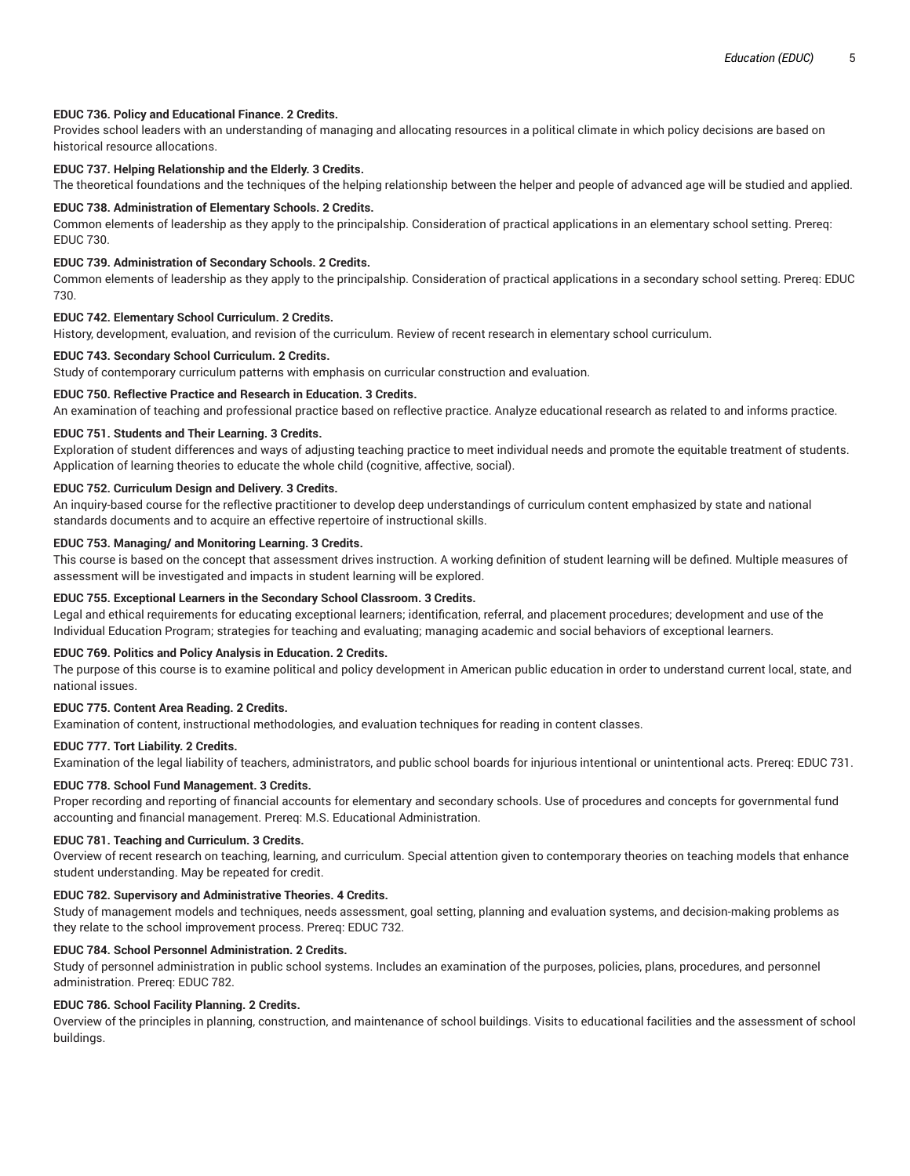# **EDUC 736. Policy and Educational Finance. 2 Credits.**

Provides school leaders with an understanding of managing and allocating resources in a political climate in which policy decisions are based on historical resource allocations.

# **EDUC 737. Helping Relationship and the Elderly. 3 Credits.**

The theoretical foundations and the techniques of the helping relationship between the helper and people of advanced age will be studied and applied.

#### **EDUC 738. Administration of Elementary Schools. 2 Credits.**

Common elements of leadership as they apply to the principalship. Consideration of practical applications in an elementary school setting. Prereq: EDUC 730.

## **EDUC 739. Administration of Secondary Schools. 2 Credits.**

Common elements of leadership as they apply to the principalship. Consideration of practical applications in a secondary school setting. Prereq: EDUC 730.

# **EDUC 742. Elementary School Curriculum. 2 Credits.**

History, development, evaluation, and revision of the curriculum. Review of recent research in elementary school curriculum.

#### **EDUC 743. Secondary School Curriculum. 2 Credits.**

Study of contemporary curriculum patterns with emphasis on curricular construction and evaluation.

# **EDUC 750. Reflective Practice and Research in Education. 3 Credits.**

An examination of teaching and professional practice based on reflective practice. Analyze educational research as related to and informs practice.

# **EDUC 751. Students and Their Learning. 3 Credits.**

Exploration of student differences and ways of adjusting teaching practice to meet individual needs and promote the equitable treatment of students. Application of learning theories to educate the whole child (cognitive, affective, social).

#### **EDUC 752. Curriculum Design and Delivery. 3 Credits.**

An inquiry-based course for the reflective practitioner to develop deep understandings of curriculum content emphasized by state and national standards documents and to acquire an effective repertoire of instructional skills.

## **EDUC 753. Managing/ and Monitoring Learning. 3 Credits.**

This course is based on the concept that assessment drives instruction. A working definition of student learning will be defined. Multiple measures of assessment will be investigated and impacts in student learning will be explored.

#### **EDUC 755. Exceptional Learners in the Secondary School Classroom. 3 Credits.**

Legal and ethical requirements for educating exceptional learners; identification, referral, and placement procedures; development and use of the Individual Education Program; strategies for teaching and evaluating; managing academic and social behaviors of exceptional learners.

#### **EDUC 769. Politics and Policy Analysis in Education. 2 Credits.**

The purpose of this course is to examine political and policy development in American public education in order to understand current local, state, and national issues.

#### **EDUC 775. Content Area Reading. 2 Credits.**

Examination of content, instructional methodologies, and evaluation techniques for reading in content classes.

# **EDUC 777. Tort Liability. 2 Credits.**

Examination of the legal liability of teachers, administrators, and public school boards for injurious intentional or unintentional acts. Prereq: EDUC 731.

#### **EDUC 778. School Fund Management. 3 Credits.**

Proper recording and reporting of financial accounts for elementary and secondary schools. Use of procedures and concepts for governmental fund accounting and financial management. Prereq: M.S. Educational Administration.

# **EDUC 781. Teaching and Curriculum. 3 Credits.**

Overview of recent research on teaching, learning, and curriculum. Special attention given to contemporary theories on teaching models that enhance student understanding. May be repeated for credit.

#### **EDUC 782. Supervisory and Administrative Theories. 4 Credits.**

Study of management models and techniques, needs assessment, goal setting, planning and evaluation systems, and decision-making problems as they relate to the school improvement process. Prereq: EDUC 732.

#### **EDUC 784. School Personnel Administration. 2 Credits.**

Study of personnel administration in public school systems. Includes an examination of the purposes, policies, plans, procedures, and personnel administration. Prereq: EDUC 782.

# **EDUC 786. School Facility Planning. 2 Credits.**

Overview of the principles in planning, construction, and maintenance of school buildings. Visits to educational facilities and the assessment of school buildings.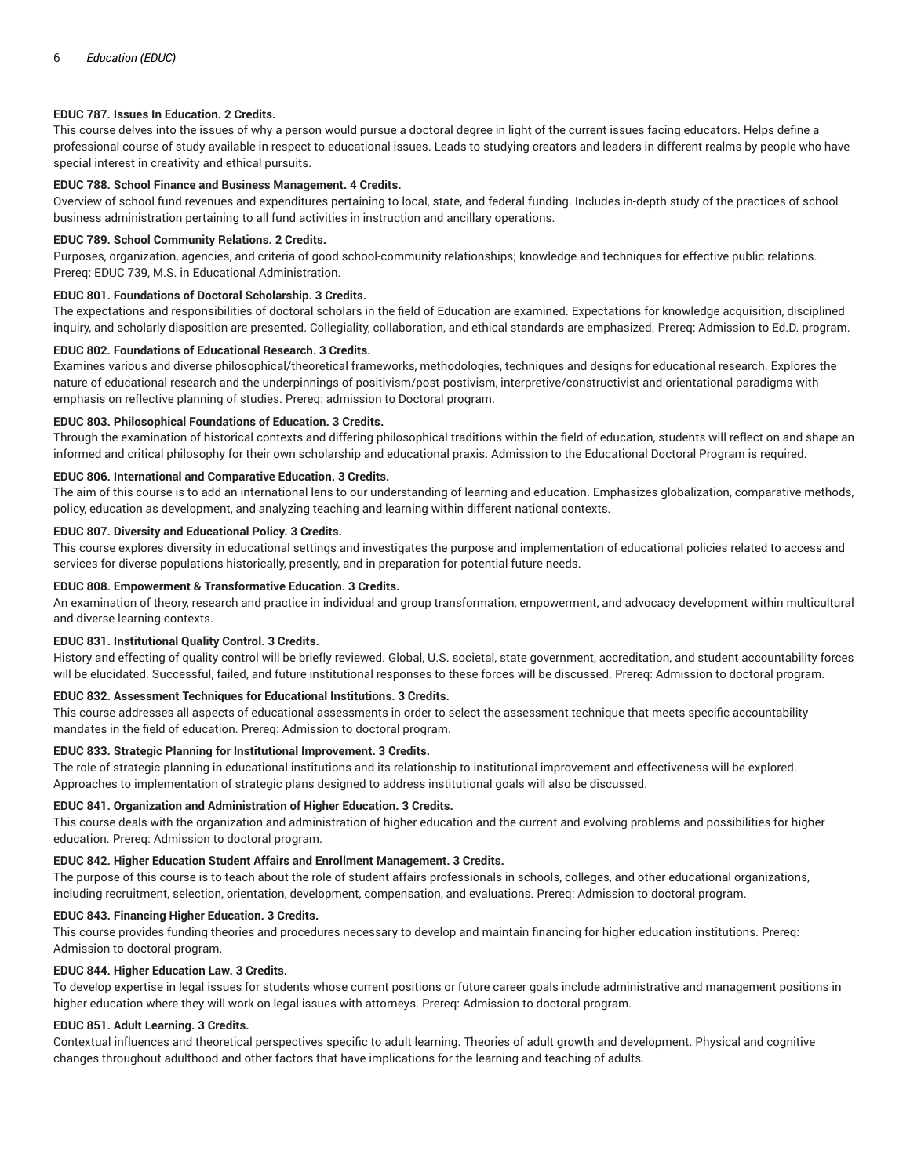# **EDUC 787. Issues In Education. 2 Credits.**

This course delves into the issues of why a person would pursue a doctoral degree in light of the current issues facing educators. Helps define a professional course of study available in respect to educational issues. Leads to studying creators and leaders in different realms by people who have special interest in creativity and ethical pursuits.

#### **EDUC 788. School Finance and Business Management. 4 Credits.**

Overview of school fund revenues and expenditures pertaining to local, state, and federal funding. Includes in-depth study of the practices of school business administration pertaining to all fund activities in instruction and ancillary operations.

#### **EDUC 789. School Community Relations. 2 Credits.**

Purposes, organization, agencies, and criteria of good school-community relationships; knowledge and techniques for effective public relations. Prereq: EDUC 739, M.S. in Educational Administration.

# **EDUC 801. Foundations of Doctoral Scholarship. 3 Credits.**

The expectations and responsibilities of doctoral scholars in the field of Education are examined. Expectations for knowledge acquisition, disciplined inquiry, and scholarly disposition are presented. Collegiality, collaboration, and ethical standards are emphasized. Prereq: Admission to Ed.D. program.

# **EDUC 802. Foundations of Educational Research. 3 Credits.**

Examines various and diverse philosophical/theoretical frameworks, methodologies, techniques and designs for educational research. Explores the nature of educational research and the underpinnings of positivism/post-postivism, interpretive/constructivist and orientational paradigms with emphasis on reflective planning of studies. Prereq: admission to Doctoral program.

# **EDUC 803. Philosophical Foundations of Education. 3 Credits.**

Through the examination of historical contexts and differing philosophical traditions within the field of education, students will reflect on and shape an informed and critical philosophy for their own scholarship and educational praxis. Admission to the Educational Doctoral Program is required.

#### **EDUC 806. International and Comparative Education. 3 Credits.**

The aim of this course is to add an international lens to our understanding of learning and education. Emphasizes globalization, comparative methods, policy, education as development, and analyzing teaching and learning within different national contexts.

#### **EDUC 807. Diversity and Educational Policy. 3 Credits.**

This course explores diversity in educational settings and investigates the purpose and implementation of educational policies related to access and services for diverse populations historically, presently, and in preparation for potential future needs.

## **EDUC 808. Empowerment & Transformative Education. 3 Credits.**

An examination of theory, research and practice in individual and group transformation, empowerment, and advocacy development within multicultural and diverse learning contexts.

#### **EDUC 831. Institutional Quality Control. 3 Credits.**

History and effecting of quality control will be briefly reviewed. Global, U.S. societal, state government, accreditation, and student accountability forces will be elucidated. Successful, failed, and future institutional responses to these forces will be discussed. Prereq: Admission to doctoral program.

#### **EDUC 832. Assessment Techniques for Educational Institutions. 3 Credits.**

This course addresses all aspects of educational assessments in order to select the assessment technique that meets specific accountability mandates in the field of education. Prereq: Admission to doctoral program.

#### **EDUC 833. Strategic Planning for Institutional Improvement. 3 Credits.**

The role of strategic planning in educational institutions and its relationship to institutional improvement and effectiveness will be explored. Approaches to implementation of strategic plans designed to address institutional goals will also be discussed.

## **EDUC 841. Organization and Administration of Higher Education. 3 Credits.**

This course deals with the organization and administration of higher education and the current and evolving problems and possibilities for higher education. Prereq: Admission to doctoral program.

#### **EDUC 842. Higher Education Student Affairs and Enrollment Management. 3 Credits.**

The purpose of this course is to teach about the role of student affairs professionals in schools, colleges, and other educational organizations, including recruitment, selection, orientation, development, compensation, and evaluations. Prereq: Admission to doctoral program.

## **EDUC 843. Financing Higher Education. 3 Credits.**

This course provides funding theories and procedures necessary to develop and maintain financing for higher education institutions. Prereq: Admission to doctoral program.

#### **EDUC 844. Higher Education Law. 3 Credits.**

To develop expertise in legal issues for students whose current positions or future career goals include administrative and management positions in higher education where they will work on legal issues with attorneys. Prereq: Admission to doctoral program.

#### **EDUC 851. Adult Learning. 3 Credits.**

Contextual influences and theoretical perspectives specific to adult learning. Theories of adult growth and development. Physical and cognitive changes throughout adulthood and other factors that have implications for the learning and teaching of adults.